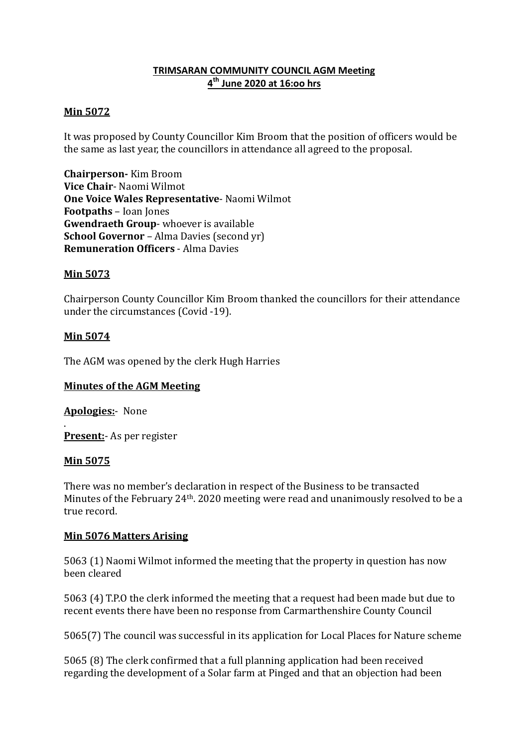# **TRIMSARAN COMMUNITY COUNCIL AGM Meeting 4 th June 2020 at 16:oo hrs**

### **Min 5072**

It was proposed by County Councillor Kim Broom that the position of officers would be the same as last year, the councillors in attendance all agreed to the proposal.

**Chairperson-** Kim Broom **Vice Chair**- Naomi Wilmot **One Voice Wales Representative**- Naomi Wilmot **Footpaths** – Ioan Jones **Gwendraeth Group**- whoever is available **School Governor** – Alma Davies (second yr) **Remuneration Officers** - Alma Davies

### **Min 5073**

Chairperson County Councillor Kim Broom thanked the councillors for their attendance under the circumstances (Covid -19).

### **Min 5074**

The AGM was opened by the clerk Hugh Harries

## **Minutes of the AGM Meeting**

**Apologies:**- None

. **Present:**- As per register

#### **Min 5075**

There was no member's declaration in respect of the Business to be transacted Minutes of the February 24th. 2020 meeting were read and unanimously resolved to be a true record.

#### **Min 5076 Matters Arising**

5063 (1) Naomi Wilmot informed the meeting that the property in question has now been cleared

5063 (4) T.P.O the clerk informed the meeting that a request had been made but due to recent events there have been no response from Carmarthenshire County Council

5065(7) The council was successful in its application for Local Places for Nature scheme

5065 (8) The clerk confirmed that a full planning application had been received regarding the development of a Solar farm at Pinged and that an objection had been